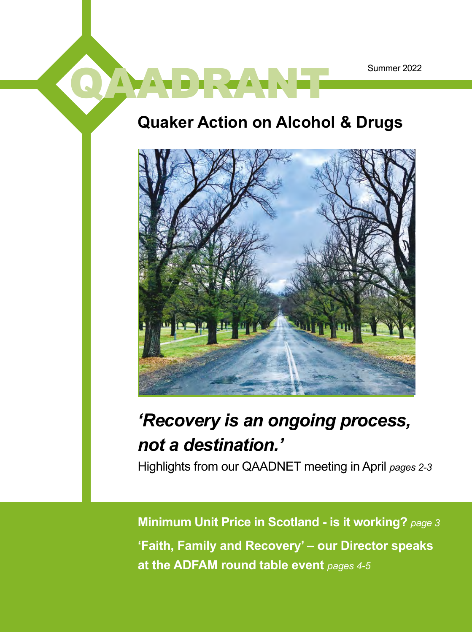## **Quaker Action on Alcohol & Drugs**

QAADRAANT



## *'Recovery is an ongoing process, not a destination.'*

Highlights from our QAADNET meeting in April *pages 2-3*

**Minimum Unit Price in Scotland - is it working?** *page 3* **'Faith, Family and Recovery' – our Director speaks at the ADFAM round table event** *pages 4-5*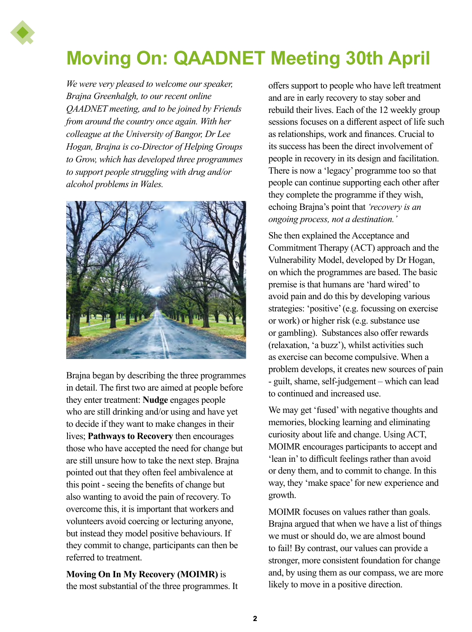

# **Moving On: QAADNET Meeting 30th April**

*We were very pleased to welcome our speaker, Brajna Greenhalgh, to our recent online QAADNET meeting, and to be joined by Friends from around the country once again. With her colleague at the University of Bangor, Dr Lee Hogan, Brajna is co-Director of Helping Groups to Grow, which has developed three programmes to support people struggling with drug and/or alcohol problems in Wales.* 



Brajna began by describing the three programmes in detail. The first two are aimed at people before they enter treatment: **Nudge** engages people who are still drinking and/or using and have yet to decide if they want to make changes in their lives; **Pathways to Recovery** then encourages those who have accepted the need for change but are still unsure how to take the next step. Brajna pointed out that they often feel ambivalence at this point - seeing the benefits of change but also wanting to avoid the pain of recovery. To overcome this, it is important that workers and volunteers avoid coercing or lecturing anyone, but instead they model positive behaviours. If they commit to change, participants can then be referred to treatment.

**Moving On In My Recovery (MOIMR)** is the most substantial of the three programmes. It

offers support to people who have left treatment and are in early recovery to stay sober and rebuild their lives. Each of the 12 weekly group sessions focuses on a different aspect of life such as relationships, work and finances. Crucial to its success has been the direct involvement of people in recovery in its design and facilitation. There is now a 'legacy' programme too so that people can continue supporting each other after they complete the programme if they wish, echoing Brajna's point that *'recovery is an ongoing process, not a destination.'*

She then explained the Acceptance and Commitment Therapy (ACT) approach and the Vulnerability Model, developed by Dr Hogan, on which the programmes are based. The basic premise is that humans are 'hard wired' to avoid pain and do this by developing various strategies: 'positive' (e.g. focussing on exercise or work) or higher risk (e.g. substance use or gambling). Substances also offer rewards (relaxation, 'a buzz'), whilst activities such as exercise can become compulsive. When a problem develops, it creates new sources of pain - guilt, shame, self-judgement – which can lead to continued and increased use.

We may get 'fused' with negative thoughts and memories, blocking learning and eliminating curiosity about life and change. Using ACT, MOIMR encourages participants to accept and 'lean in' to difficult feelings rather than avoid or deny them, and to commit to change. In this way, they 'make space' for new experience and growth.

MOIMR focuses on values rather than goals. Brajna argued that when we have a list of things we must or should do, we are almost bound to fail! By contrast, our values can provide a stronger, more consistent foundation for change and, by using them as our compass, we are more likely to move in a positive direction.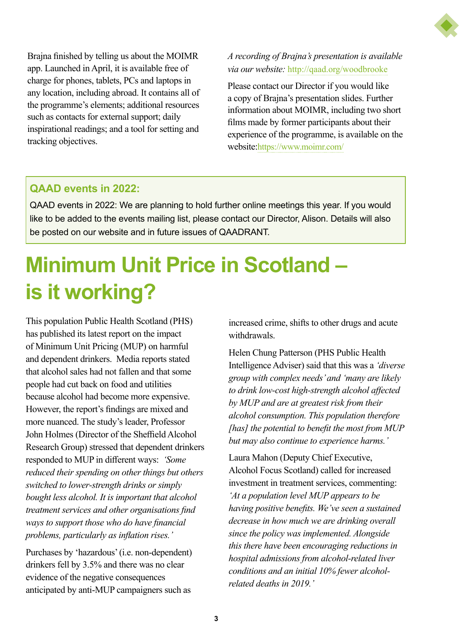

Brajna finished by telling us about the MOIMR app. Launched in April, it is available free of charge for phones, tablets, PCs and laptops in any location, including abroad. It contains all of the programme's elements; additional resources such as contacts for external support; daily inspirational readings; and a tool for setting and tracking objectives.

*A recording of Brajna's presentation is available via our website:* <http://qaad.org/woodbrooke>

Please contact our Director if you would like a copy of Brajna's presentation slides. Further information about MOIMR, including two short films made by former participants about their experience of the programme, is available on the website[:https://www.moimr.com/](https://www.moimr.com/)

### **QAAD events in 2022:**

QAAD events in 2022: We are planning to hold further online meetings this year. If you would like to be added to the events mailing list, please contact our Director, Alison. Details will also be posted on our website and in future issues of QAADRANT.

# **Minimum Unit Price in Scotland – is it working?**

This population Public Health Scotland (PHS) has published its latest report on the impact of Minimum Unit Pricing (MUP) on harmful and dependent drinkers. Media reports stated that alcohol sales had not fallen and that some people had cut back on food and utilities because alcohol had become more expensive. However, the report's findings are mixed and more nuanced. The study's leader, Professor John Holmes (Director of the Sheffield Alcohol Research Group) stressed that dependent drinkers responded to MUP in different ways: *'Some reduced their spending on other things but others switched to lower-strength drinks or simply bought less alcohol. It is important that alcohol treatment services and other organisations find ways to support those who do have financial problems, particularly as inflation rises.'*

Purchases by 'hazardous' (i.e. non-dependent) drinkers fell by 3.5% and there was no clear evidence of the negative consequences anticipated by anti-MUP campaigners such as

increased crime, shifts to other drugs and acute withdrawals.

Helen Chung Patterson (PHS Public Health Intelligence Adviser) said that this was a *'diverse group with complex needs' and 'many are likely to drink low-cost high-strength alcohol affected by MUP and are at greatest risk from their alcohol consumption. This population therefore [has] the potential to benefit the most from MUP but may also continue to experience harms.'*

Laura Mahon (Deputy Chief Executive, Alcohol Focus Scotland) called for increased investment in treatment services, commenting: *'At a population level MUP appears to be having positive benefits. We've seen a sustained decrease in how much we are drinking overall since the policy was implemented. Alongside this there have been encouraging reductions in hospital admissions from alcohol-related liver conditions and an initial 10% fewer alcoholrelated deaths in 2019.'*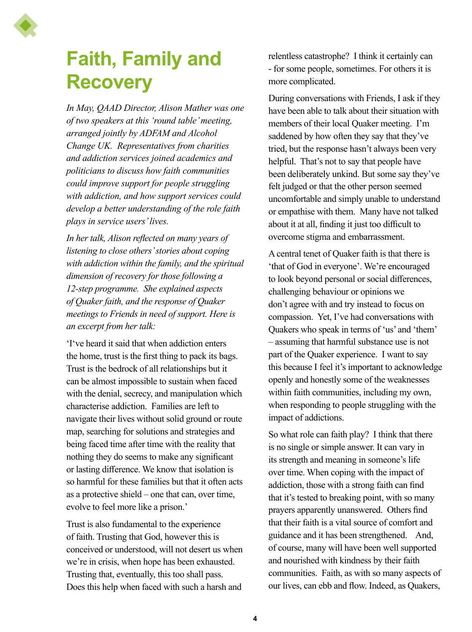

## **Faith, Family and Recovery**

*In May, QAAD Director, Alison Mather was one of two speakers at this 'round table' meeting, arranged jointly by ADFAM and Alcohol Change UK. Representatives from charities and addiction services joined academics and politicians to discuss how faith communities could improve support for people struggling with addiction, and how support services could develop a better understanding of the role faith plays in service users' lives.* 

*In her talk, Alison reflected on many years of listening to close others' stories about coping with addiction within the family, and the spiritual dimension of recovery for those following a 12-step programme. She explained aspects of Quaker faith, and the response of Quaker meetings to Friends in need of support. Here is an excerpt from her talk:*

'I've heard it said that when addiction enters the home, trust is the first thing to pack its bags. Trust is the bedrock of all relationships but it can be almost impossible to sustain when faced with the denial, secrecy, and manipulation which characterise addiction. Families are left to navigate their lives without solid ground or route map, searching for solutions and strategies and being faced time after time with the reality that nothing they do seems to make any significant or lasting difference. We know that isolation is so harmful for these families but that it often acts as a protective shield – one that can, over time, evolve to feel more like a prison.'

Trust is also fundamental to the experience of faith. Trusting that God, however this is conceived or understood, will not desert us when we're in crisis, when hope has been exhausted. Trusting that, eventually, this too shall pass. Does this help when faced with such a harsh and

relentless catastrophe? I think it certainly can - for some people, sometimes. For others it is more complicated.

During conversations with Friends, I ask if they have been able to talk about their situation with members of their local Quaker meeting. I'm saddened by how often they say that they've tried, but the response hasn't always been very helpful. That's not to say that people have been deliberately unkind. But some say they've felt judged or that the other person seemed uncomfortable and simply unable to understand or empathise with them. Many have not talked about it at all, finding it just too difficult to overcome stigma and embarrassment.

A central tenet of Quaker faith is that there is 'that of God in everyone'. We're encouraged to look beyond personal or social differences, challenging behaviour or opinions we don't agree with and try instead to focus on compassion. Yet, I've had conversations with Quakers who speak in terms of 'us' and 'them' – assuming that harmful substance use is not part of the Quaker experience. I want to say this because I feel it's important to acknowledge openly and honestly some of the weaknesses within faith communities, including my own, when responding to people struggling with the impact of addictions.

So what role can faith play? I think that there is no single or simple answer. It can vary in its strength and meaning in someone's life over time. When coping with the impact of addiction, those with a strong faith can find that it's tested to breaking point, with so many prayers apparently unanswered. Others find that their faith is a vital source of comfort and guidance and it has been strengthened. And, of course, many will have been well supported and nourished with kindness by their faith communities. Faith, as with so many aspects of our lives, can ebb and flow. Indeed, as Quakers,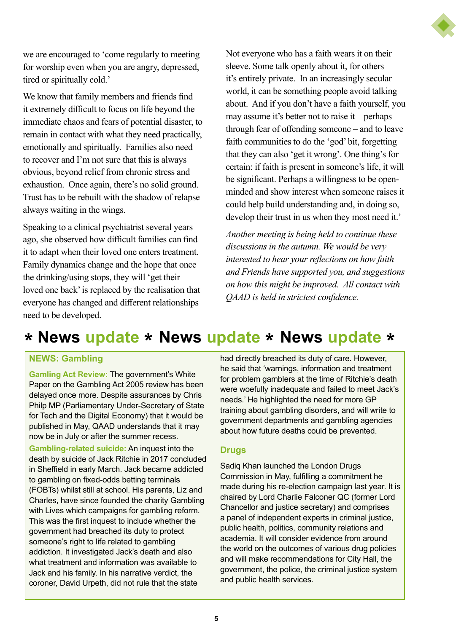we are encouraged to 'come regularly to meeting for worship even when you are angry, depressed, tired or spiritually cold.'

We know that family members and friends find it extremely difficult to focus on life beyond the immediate chaos and fears of potential disaster, to remain in contact with what they need practically, emotionally and spiritually. Families also need to recover and I'm not sure that this is always obvious, beyond relief from chronic stress and exhaustion. Once again, there's no solid ground. Trust has to be rebuilt with the shadow of relapse always waiting in the wings.

Speaking to a clinical psychiatrist several years ago, she observed how difficult families can find it to adapt when their loved one enters treatment. Family dynamics change and the hope that once the drinking/using stops, they will 'get their loved one back' is replaced by the realisation that everyone has changed and different relationships need to be developed.

Not everyone who has a faith wears it on their sleeve. Some talk openly about it, for others it's entirely private. In an increasingly secular world, it can be something people avoid talking about. And if you don't have a faith yourself, you may assume it's better not to raise it – perhaps through fear of offending someone – and to leave faith communities to do the 'god' bit, forgetting that they can also 'get it wrong'. One thing's for certain: if faith is present in someone's life, it will be significant. Perhaps a willingness to be openminded and show interest when someone raises it could help build understanding and, in doing so, develop their trust in us when they most need it.'

*Another meeting is being held to continue these discussions in the autumn. We would be very interested to hear your reflections on how faith and Friends have supported you, and suggestions on how this might be improved. All contact with QAAD is held in strictest confidence.*

## **\* News update \* News update \* News update \***

#### **NEWS: Gambling**

**Gamling Act Review:** The government's White Paper on the Gambling Act 2005 review has been delayed once more. Despite assurances by Chris Philp MP (Parliamentary Under-Secretary of State for Tech and the Digital Economy) that it would be published in May, QAAD understands that it may now be in July or after the summer recess.

**Gambling-related suicide:** An inquest into the death by suicide of Jack Ritchie in 2017 concluded in Sheffield in early March. Jack became addicted to gambling on fixed-odds betting terminals (FOBTs) whilst still at school. His parents, Liz and Charles, have since founded the charity Gambling with Lives which campaigns for gambling reform. This was the first inquest to include whether the government had breached its duty to protect someone's right to life related to gambling addiction. It investigated Jack's death and also what treatment and information was available to Jack and his family. In his narrative verdict, the coroner, David Urpeth, did not rule that the state

had directly breached its duty of care. However, he said that 'warnings, information and treatment for problem gamblers at the time of Ritchie's death were woefully inadequate and failed to meet Jack's needs.' He highlighted the need for more GP training about gambling disorders, and will write to government departments and gambling agencies about how future deaths could be prevented.

#### **Drugs**

Sadiq Khan launched the London Drugs Commission in May, fulfilling a commitment he made during his re-election campaign last year. It is chaired by Lord Charlie Falconer QC (former Lord Chancellor and justice secretary) and comprises a panel of independent experts in criminal justice, public health, politics, community relations and academia. It will consider evidence from around the world on the outcomes of various drug policies and will make recommendations for City Hall, the government, the police, the criminal justice system and public health services.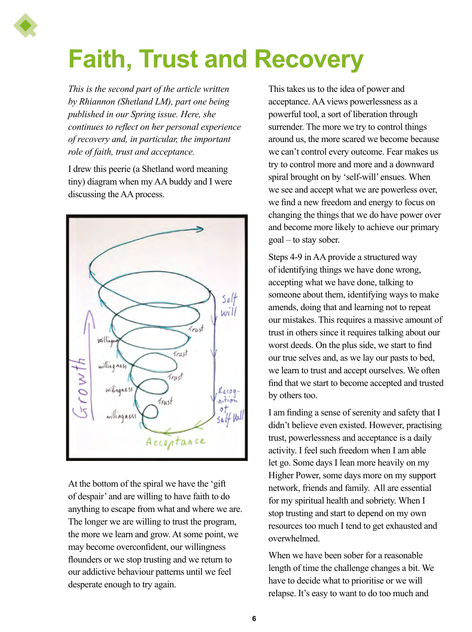# **Faith, Trust and Recovery**

*This is the second part of the article written by Rhiannon (Shetland LM), part one being published in our Spring issue. Here, she continues to reflect on her personal experience of recovery and, in particular, the important role of faith, trust and acceptance.*

I drew this peerie (a Shetland word meaning tiny) diagram when my AA buddy and I were discussing the AA process.



At the bottom of the spiral we have the 'gift of despair' and are willing to have faith to do anything to escape from what and where we are. The longer we are willing to trust the program, the more we learn and grow. At some point, we may become overconfident, our willingness flounders or we stop trusting and we return to our addictive behaviour patterns until we feel desperate enough to try again.

This takes us to the idea of power and acceptance. AA views powerlessness as a powerful tool, a sort of liberation through surrender. The more we try to control things around us, the more scared we become because we can't control every outcome. Fear makes us try to control more and more and a downward spiral brought on by 'self-will' ensues. When we see and accept what we are powerless over, we find a new freedom and energy to focus on changing the things that we do have power over and become more likely to achieve our primary goal – to stay sober.

Steps 4-9 in AA provide a structured way of identifying things we have done wrong, accepting what we have done, talking to someone about them, identifying ways to make amends, doing that and learning not to repeat our mistakes. This requires a massive amount of trust in others since it requires talking about our worst deeds. On the plus side, we start to find our true selves and, as we lay our pasts to bed, we learn to trust and accept ourselves. We often find that we start to become accepted and trusted by others too.

I am finding a sense of serenity and safety that I didn't believe even existed. However, practising trust, powerlessness and acceptance is a daily activity. I feel such freedom when I am able let go. Some days I lean more heavily on my Higher Power, some days more on my support network, friends and family. All are essential for my spiritual health and sobriety. When I stop trusting and start to depend on my own resources too much I tend to get exhausted and overwhelmed.

When we have been sober for a reasonable length of time the challenge changes a bit. We have to decide what to prioritise or we will relapse. It's easy to want to do too much and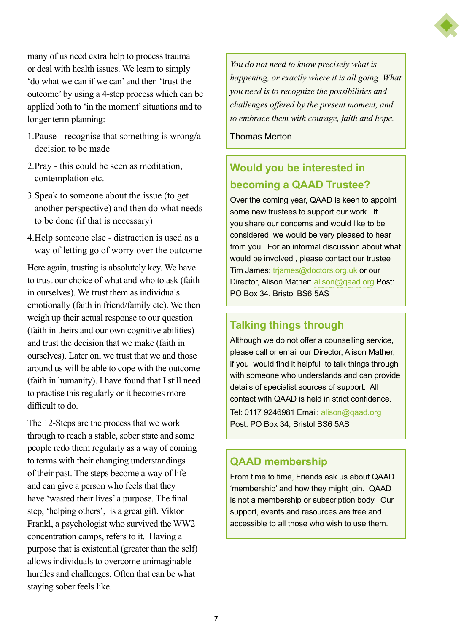many of us need extra help to process trauma or deal with health issues. We learn to simply 'do what we can if we can' and then 'trust the outcome' by using a 4-step process which can be applied both to 'in the moment' situations and to longer term planning:

- 1.Pause recognise that something is wrong/a decision to be made
- 2.Pray this could be seen as meditation, contemplation etc.
- 3.Speak to someone about the issue (to get another perspective) and then do what needs to be done (if that is necessary)
- 4.Help someone else distraction is used as a way of letting go of worry over the outcome

Here again, trusting is absolutely key. We have to trust our choice of what and who to ask (faith in ourselves). We trust them as individuals emotionally (faith in friend/family etc). We then weigh up their actual response to our question (faith in theirs and our own cognitive abilities) and trust the decision that we make (faith in ourselves). Later on, we trust that we and those around us will be able to cope with the outcome (faith in humanity). I have found that I still need to practise this regularly or it becomes more difficult to do.

The 12-Steps are the process that we work through to reach a stable, sober state and some people redo them regularly as a way of coming to terms with their changing understandings of their past. The steps become a way of life and can give a person who feels that they have 'wasted their lives' a purpose. The final step, 'helping others', is a great gift. Viktor Frankl, a psychologist who survived the WW2 concentration camps, refers to it. Having a purpose that is existential (greater than the self) allows individuals to overcome unimaginable hurdles and challenges. Often that can be what staying sober feels like.

*You do not need to know precisely what is happening, or exactly where it is all going. What you need is to recognize the possibilities and challenges offered by the present moment, and to embrace them with courage, faith and hope.* 

Thomas Merton

## **Would you be interested in becoming a QAAD Trustee?**

Over the coming year, QAAD is keen to appoint some new trustees to support our work. If you share our concerns and would like to be considered, we would be very pleased to hear from you. For an informal discussion about what would be involved , please contact our trustee Tim James: [trjames@doctors.org.uk](mailto:trjames%40doctors.org.uk?subject=) or our Director, Alison Mather: [alison@qaad.org](mailto:alison%40qaad.org?subject=) Post: PO Box 34, Bristol BS6 5AS

### **Talking things through**

Although we do not offer a counselling service, please call or email our Director, Alison Mather, if you would find it helpful to talk things through with someone who understands and can provide details of specialist sources of support. All contact with QAAD is held in strict confidence.

Tel: 0117 9246981 Email: [alison@qaad.org](mailto:alison%40qaad.org?subject=)  Post: PO Box 34, Bristol BS6 5AS

### **QAAD membership**

From time to time, Friends ask us about QAAD 'membership' and how they might join. QAAD is not a membership or subscription body. Our support, events and resources are free and accessible to all those who wish to use them.